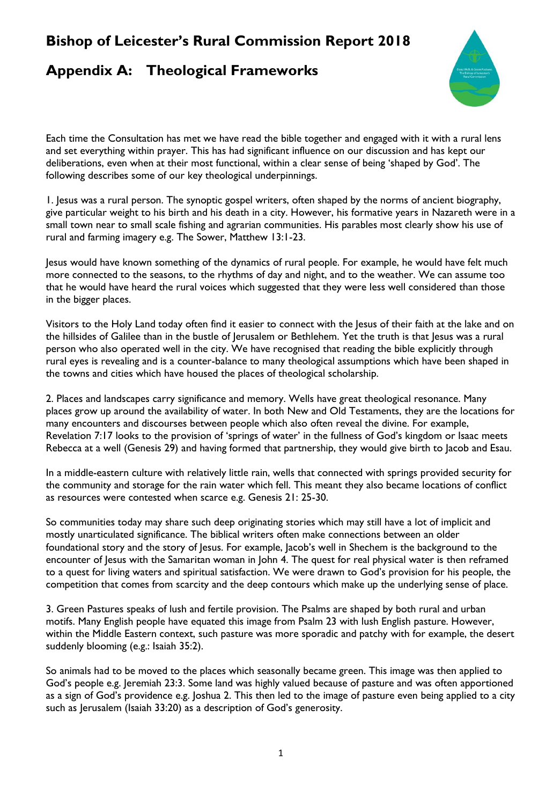### **Bishop of Leicester's Rural Commission Report 2018**

### **Appendix A: Theological Frameworks**



Each time the Consultation has met we have read the bible together and engaged with it with a rural lens and set everything within prayer. This has had significant influence on our discussion and has kept our deliberations, even when at their most functional, within a clear sense of being 'shaped by God'. The following describes some of our key theological underpinnings.

1. Jesus was a rural person. The synoptic gospel writers, often shaped by the norms of ancient biography, give particular weight to his birth and his death in a city. However, his formative years in Nazareth were in a small town near to small scale fishing and agrarian communities. His parables most clearly show his use of rural and farming imagery e.g. The Sower, Matthew 13:1-23.

Jesus would have known something of the dynamics of rural people. For example, he would have felt much more connected to the seasons, to the rhythms of day and night, and to the weather. We can assume too that he would have heard the rural voices which suggested that they were less well considered than those in the bigger places.

Visitors to the Holy Land today often find it easier to connect with the Jesus of their faith at the lake and on the hillsides of Galilee than in the bustle of Jerusalem or Bethlehem. Yet the truth is that Jesus was a rural person who also operated well in the city. We have recognised that reading the bible explicitly through rural eyes is revealing and is a counter-balance to many theological assumptions which have been shaped in the towns and cities which have housed the places of theological scholarship.

2. Places and landscapes carry significance and memory. Wells have great theological resonance. Many places grow up around the availability of water. In both New and Old Testaments, they are the locations for many encounters and discourses between people which also often reveal the divine. For example, Revelation 7:17 looks to the provision of 'springs of water' in the fullness of God's kingdom or Isaac meets Rebecca at a well (Genesis 29) and having formed that partnership, they would give birth to Jacob and Esau.

In a middle-eastern culture with relatively little rain, wells that connected with springs provided security for the community and storage for the rain water which fell. This meant they also became locations of conflict as resources were contested when scarce e.g. Genesis 21: 25-30.

So communities today may share such deep originating stories which may still have a lot of implicit and mostly unarticulated significance. The biblical writers often make connections between an older foundational story and the story of Jesus. For example, Jacob's well in Shechem is the background to the encounter of Jesus with the Samaritan woman in John 4. The quest for real physical water is then reframed to a quest for living waters and spiritual satisfaction. We were drawn to God's provision for his people, the competition that comes from scarcity and the deep contours which make up the underlying sense of place.

3. Green Pastures speaks of lush and fertile provision. The Psalms are shaped by both rural and urban motifs. Many English people have equated this image from Psalm 23 with lush English pasture. However, within the Middle Eastern context, such pasture was more sporadic and patchy with for example, the desert suddenly blooming (e.g.: Isaiah 35:2).

So animals had to be moved to the places which seasonally became green. This image was then applied to God's people e.g. Jeremiah 23:3. Some land was highly valued because of pasture and was often apportioned as a sign of God's providence e.g. Joshua 2. This then led to the image of pasture even being applied to a city such as Jerusalem (Isaiah 33:20) as a description of God's generosity.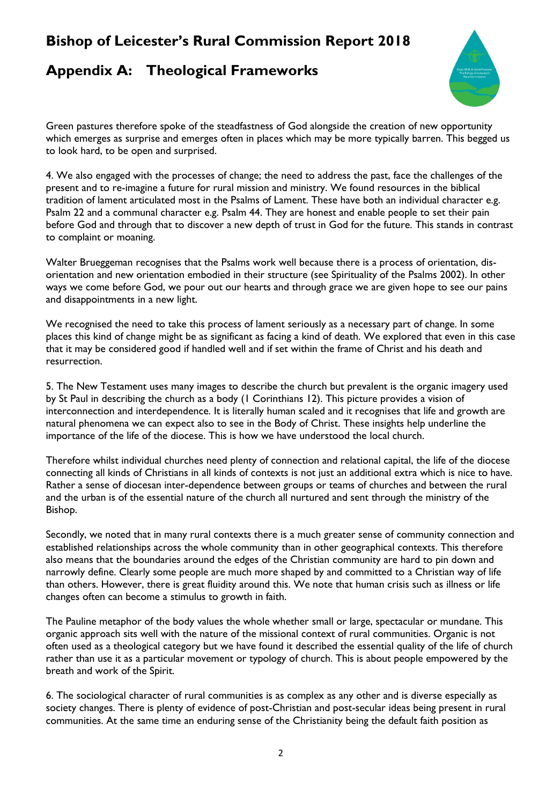# **Appendix A: Theological Frameworks**



Green pastures therefore spoke of the steadfastness of God alongside the creation of new opportunity which emerges as surprise and emerges often in places which may be more typically barren. This begged us to look hard, to be open and surprised.

4. We also engaged with the processes of change; the need to address the past, face the challenges of the present and to re-imagine a future for rural mission and ministry. We found resources in the biblical tradition of lament articulated most in the Psalms of Lament. These have both an individual character e.g. Psalm 22 and a communal character e.g. Psalm 44. They are honest and enable people to set their pain before God and through that to discover a new depth of trust in God for the future. This stands in contrast to complaint or moaning.

Walter Brueggeman recognises that the Psalms work well because there is a process of orientation, disorientation and new orientation embodied in their structure (see Spirituality of the Psalms 2002). In other ways we come before God, we pour out our hearts and through grace we are given hope to see our pains and disappointments in a new light.

We recognised the need to take this process of lament seriously as a necessary part of change. In some places this kind of change might be as significant as facing a kind of death. We explored that even in this case that it may be considered good if handled well and if set within the frame of Christ and his death and resurrection.

5. The New Testament uses many images to describe the church but prevalent is the organic imagery used by St Paul in describing the church as a body (1 Corinthians 12). This picture provides a vision of interconnection and interdependence. It is literally human scaled and it recognises that life and growth are natural phenomena we can expect also to see in the Body of Christ. These insights help underline the importance of the life of the diocese. This is how we have understood the local church.

Therefore whilst individual churches need plenty of connection and relational capital, the life of the diocese connecting all kinds of Christians in all kinds of contexts is not just an additional extra which is nice to have. Rather a sense of diocesan inter-dependence between groups or teams of churches and between the rural and the urban is of the essential nature of the church all nurtured and sent through the ministry of the Bishop.

Secondly, we noted that in many rural contexts there is a much greater sense of community connection and established relationships across the whole community than in other geographical contexts. This therefore also means that the boundaries around the edges of the Christian community are hard to pin down and narrowly define. Clearly some people are much more shaped by and committed to a Christian way of life than others. However, there is great fluidity around this. We note that human crisis such as illness or life changes often can become a stimulus to growth in faith.

The Pauline metaphor of the body values the whole whether small or large, spectacular or mundane. This organic approach sits well with the nature of the missional context of rural communities. Organic is not often used as a theological category but we have found it described the essential quality of the life of church rather than use it as a particular movement or typology of church. This is about people empowered by the breath and work of the Spirit.

6. The sociological character of rural communities is as complex as any other and is diverse especially as society changes. There is plenty of evidence of post-Christian and post-secular ideas being present in rural communities. At the same time an enduring sense of the Christianity being the default faith position as